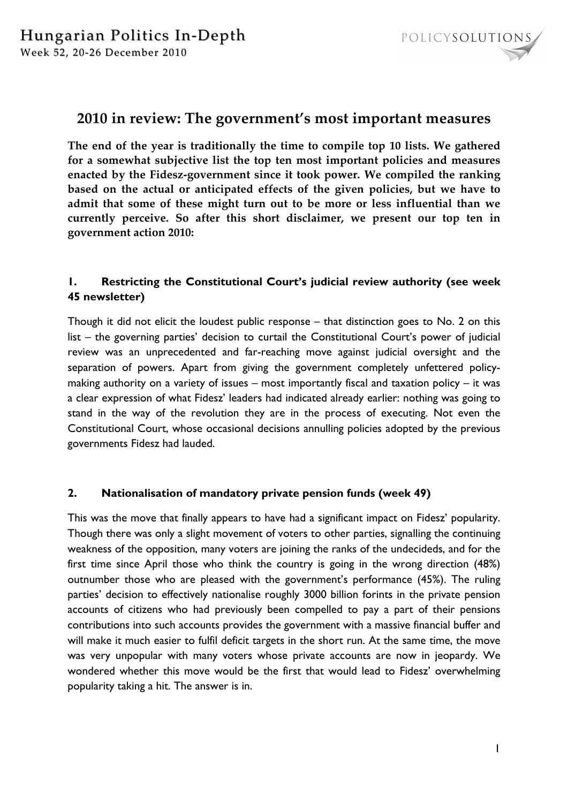

# **2010 in review: The government's most important measures**

**The end of the year is traditionally the time to compile top 10 lists. We gathered for a somewhat subjective list the top ten most important policies and measures enacted by the Fidesz-government since it took power. We compiled the ranking based on the actual or anticipated effects of the given policies, but we have to admit that some of these might turn out to be more or less influential than we currently perceive. So after this short disclaimer, we present our top ten in government action 2010:** 

# **1. Restricting the Constitutional Court's judicial review authority (see week 45 newsletter)**

Though it did not elicit the loudest public response – that distinction goes to No. 2 on this list – the governing parties' decision to curtail the Constitutional Court's power of judicial review was an unprecedented and far-reaching move against judicial oversight and the separation of powers. Apart from giving the government completely unfettered policymaking authority on a variety of issues – most importantly fiscal and taxation policy – it was a clear expression of what Fidesz' leaders had indicated already earlier: nothing was going to stand in the way of the revolution they are in the process of executing. Not even the Constitutional Court, whose occasional decisions annulling policies adopted by the previous governments Fidesz had lauded.

## **2. Nationalisation of mandatory private pension funds (week 49)**

This was the move that finally appears to have had a significant impact on Fidesz' popularity. Though there was only a slight movement of voters to other parties, signalling the continuing weakness of the opposition, many voters are joining the ranks of the undecideds, and for the first time since April those who think the country is going in the wrong direction (48%) outnumber those who are pleased with the government's performance (45%). The ruling parties' decision to effectively nationalise roughly 3000 billion forints in the private pension accounts of citizens who had previously been compelled to pay a part of their pensions contributions into such accounts provides the government with a massive financial buffer and will make it much easier to fulfil deficit targets in the short run. At the same time, the move was very unpopular with many voters whose private accounts are now in jeopardy. We wondered whether this move would be the first that would lead to Fidesz' overwhelming popularity taking a hit. The answer is in.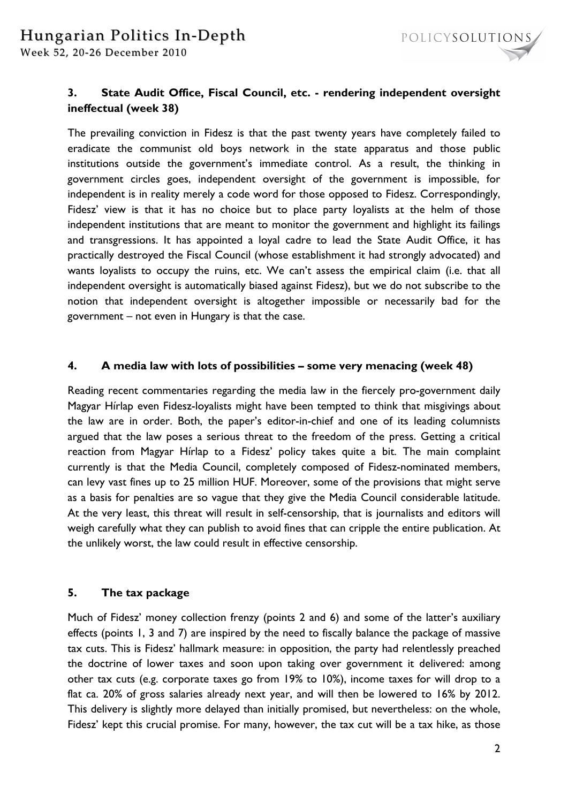

# **3. State Audit Office, Fiscal Council, etc. - rendering independent oversight ineffectual (week 38)**

The prevailing conviction in Fidesz is that the past twenty years have completely failed to eradicate the communist old boys network in the state apparatus and those public institutions outside the government's immediate control. As a result, the thinking in government circles goes, independent oversight of the government is impossible, for independent is in reality merely a code word for those opposed to Fidesz. Correspondingly, Fidesz' view is that it has no choice but to place party loyalists at the helm of those independent institutions that are meant to monitor the government and highlight its failings and transgressions. It has appointed a loyal cadre to lead the State Audit Office, it has practically destroyed the Fiscal Council (whose establishment it had strongly advocated) and wants loyalists to occupy the ruins, etc. We can't assess the empirical claim (i.e. that all independent oversight is automatically biased against Fidesz), but we do not subscribe to the notion that independent oversight is altogether impossible or necessarily bad for the government – not even in Hungary is that the case.

## **4. A media law with lots of possibilities – some very menacing (week 48)**

Reading recent commentaries regarding the media law in the fiercely pro-government daily Magyar Hírlap even Fidesz-loyalists might have been tempted to think that misgivings about the law are in order. Both, the paper's editor-in-chief and one of its leading columnists argued that the law poses a serious threat to the freedom of the press. Getting a critical reaction from Magyar Hírlap to a Fidesz' policy takes quite a bit. The main complaint currently is that the Media Council, completely composed of Fidesz-nominated members, can levy vast fines up to 25 million HUF. Moreover, some of the provisions that might serve as a basis for penalties are so vague that they give the Media Council considerable latitude. At the very least, this threat will result in self-censorship, that is journalists and editors will weigh carefully what they can publish to avoid fines that can cripple the entire publication. At the unlikely worst, the law could result in effective censorship.

## **5. The tax package**

Much of Fidesz' money collection frenzy (points 2 and 6) and some of the latter's auxiliary effects (points 1, 3 and 7) are inspired by the need to fiscally balance the package of massive tax cuts. This is Fidesz' hallmark measure: in opposition, the party had relentlessly preached the doctrine of lower taxes and soon upon taking over government it delivered: among other tax cuts (e.g. corporate taxes go from 19% to 10%), income taxes for will drop to a flat ca. 20% of gross salaries already next year, and will then be lowered to 16% by 2012. This delivery is slightly more delayed than initially promised, but nevertheless: on the whole, Fidesz' kept this crucial promise. For many, however, the tax cut will be a tax hike, as those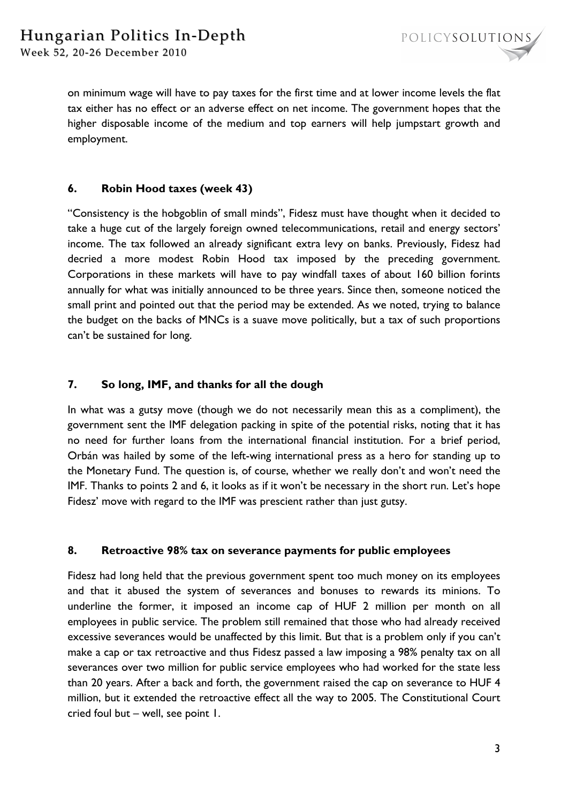on minimum wage will have to pay taxes for the first time and at lower income levels the flat tax either has no effect or an adverse effect on net income. The government hopes that the higher disposable income of the medium and top earners will help jumpstart growth and employment.

## **6. Robin Hood taxes (week 43)**

"Consistency is the hobgoblin of small minds", Fidesz must have thought when it decided to take a huge cut of the largely foreign owned telecommunications, retail and energy sectors' income. The tax followed an already significant extra levy on banks. Previously, Fidesz had decried a more modest Robin Hood tax imposed by the preceding government. Corporations in these markets will have to pay windfall taxes of about 160 billion forints annually for what was initially announced to be three years. Since then, someone noticed the small print and pointed out that the period may be extended. As we noted, trying to balance the budget on the backs of MNCs is a suave move politically, but a tax of such proportions can't be sustained for long.

## **7. So long, IMF, and thanks for all the dough**

In what was a gutsy move (though we do not necessarily mean this as a compliment), the government sent the IMF delegation packing in spite of the potential risks, noting that it has no need for further loans from the international financial institution. For a brief period, Orbán was hailed by some of the left-wing international press as a hero for standing up to the Monetary Fund. The question is, of course, whether we really don't and won't need the IMF. Thanks to points 2 and 6, it looks as if it won't be necessary in the short run. Let's hope Fidesz' move with regard to the IMF was prescient rather than just gutsy.

## **8. Retroactive 98% tax on severance payments for public employees**

Fidesz had long held that the previous government spent too much money on its employees and that it abused the system of severances and bonuses to rewards its minions. To underline the former, it imposed an income cap of HUF 2 million per month on all employees in public service. The problem still remained that those who had already received excessive severances would be unaffected by this limit. But that is a problem only if you can't make a cap or tax retroactive and thus Fidesz passed a law imposing a 98% penalty tax on all severances over two million for public service employees who had worked for the state less than 20 years. After a back and forth, the government raised the cap on severance to HUF 4 million, but it extended the retroactive effect all the way to 2005. The Constitutional Court cried foul but – well, see point 1.